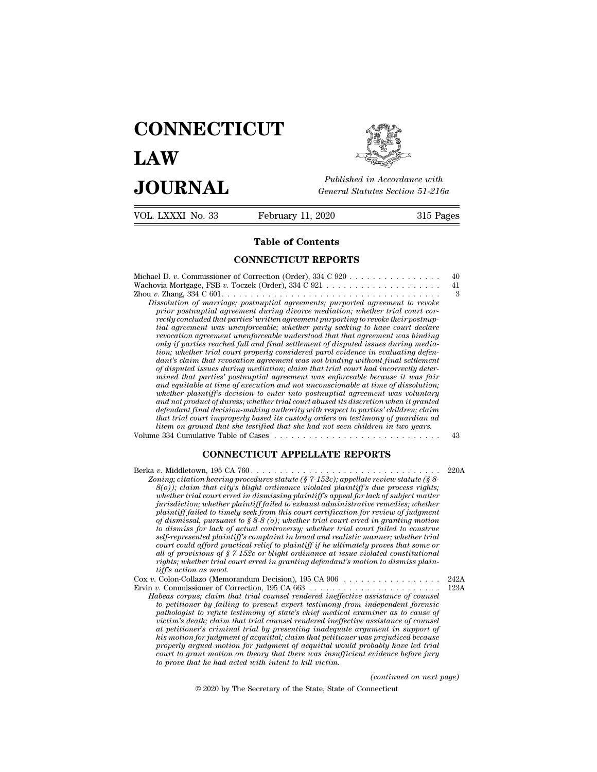# **CONNECTICUT LAW PUBLICE CONNECTICUT**<br> **Published in Accordance with**<br> **JOURNAL** *General Statutes Section 51-216a*<br> **Published in Accordance with**  $\begin{array}{cc}\n\textbf{LAW} & \overbrace{\overbrace{\overbrace{\overline{\textbf{E}}\textbf{W}}\textbf{W}}^{public}} \\
\textbf{JOLRNAL} & \textit{Published in According to the General Statistics Section 51-216a} \\
\hline\n\text{VOL. LXXXI No. 33} & \text{February 11, 2020} & \text{315 Pages}\n\end{array}$



Published in A.<br>
General Statutes<br> **Table of Contents<br>
INECTICUT REPORTS** 

| JUUKNAL           |                                                                                                                                                                                                                                                                                                                                                                                                                                                                                                                                                                                                                                                                                                                                                                                                                                                                                                                                                                                                                                                                                                                                                                                                                                                                                                                                                                                                                                                                                                                                                  | General Statutes Section 51-216a |  |
|-------------------|--------------------------------------------------------------------------------------------------------------------------------------------------------------------------------------------------------------------------------------------------------------------------------------------------------------------------------------------------------------------------------------------------------------------------------------------------------------------------------------------------------------------------------------------------------------------------------------------------------------------------------------------------------------------------------------------------------------------------------------------------------------------------------------------------------------------------------------------------------------------------------------------------------------------------------------------------------------------------------------------------------------------------------------------------------------------------------------------------------------------------------------------------------------------------------------------------------------------------------------------------------------------------------------------------------------------------------------------------------------------------------------------------------------------------------------------------------------------------------------------------------------------------------------------------|----------------------------------|--|
| VOL. LXXXI No. 33 | February 11, 2020                                                                                                                                                                                                                                                                                                                                                                                                                                                                                                                                                                                                                                                                                                                                                                                                                                                                                                                                                                                                                                                                                                                                                                                                                                                                                                                                                                                                                                                                                                                                | 315 Pages                        |  |
|                   | <b>Table of Contents</b>                                                                                                                                                                                                                                                                                                                                                                                                                                                                                                                                                                                                                                                                                                                                                                                                                                                                                                                                                                                                                                                                                                                                                                                                                                                                                                                                                                                                                                                                                                                         |                                  |  |
|                   | <b>CONNECTICUT REPORTS</b>                                                                                                                                                                                                                                                                                                                                                                                                                                                                                                                                                                                                                                                                                                                                                                                                                                                                                                                                                                                                                                                                                                                                                                                                                                                                                                                                                                                                                                                                                                                       |                                  |  |
|                   | Michael D. v. Commissioner of Correction (Order), $334 \text{ C } 920 \ldots \ldots \ldots \ldots \ldots$<br>Dissolution of marriage; postnuptial agreements; purported agreement to revoke<br>prior postmuptial agreement during divorce mediation; whether trial court cor-<br>rectly concluded that parties' written agreement purporting to revoke their postnup-<br>tial agreement was unenforceable; whether party seeking to have court declare<br>revocation agreement unenforceable understood that that agreement was binding<br>only if parties reached full and final settlement of disputed issues during media-<br>tion; whether trial court properly considered parol evidence in evaluating defen-<br>dant's claim that revocation agreement was not binding without final settlement<br>of disputed issues during mediation; claim that trial court had incorrectly deter-<br>mined that parties' postnuptial agreement was enforceable because it was fair<br>and equitable at time of execution and not unconscionable at time of dissolution;<br>whether plaintiff's decision to enter into postmuptial agreement was voluntary<br>and not product of duress; whether trial court abused its discretion when it granted<br>defendant final decision-making authority with respect to parties' children; claim<br>that trial court improperly based its custody orders on testimony of guardian ad<br>litem on ground that she testified that she had not seen children in two years.<br>Volume 334 Cumulative Table of Cases | 40<br>41<br>3<br>43              |  |
|                   | <b>CONNECTICUT APPELLATE REPORTS</b>                                                                                                                                                                                                                                                                                                                                                                                                                                                                                                                                                                                                                                                                                                                                                                                                                                                                                                                                                                                                                                                                                                                                                                                                                                                                                                                                                                                                                                                                                                             |                                  |  |
|                   | Zoning; citation hearing procedures statute (§ 7-152c); appellate review statute (§ 8-<br>$(8(a))$ : claim that city's blight ordinance violated plaintiff's due process rights:                                                                                                                                                                                                                                                                                                                                                                                                                                                                                                                                                                                                                                                                                                                                                                                                                                                                                                                                                                                                                                                                                                                                                                                                                                                                                                                                                                 | 220A                             |  |

*Litem on ground that she testified that she had not seen children in two years.*<br>
The 334 Cumulative Table of Cases<br> **Zoning;** citation, 195 CA 760.<br> *Zoning; citation hearing procedures statute (§ 7-152c); appellate revi 8(o)); claim that city's blight ordinance violated plaintiff's due process rights; whether trial court erred in dismissing plaintiff's appeal for lack of subject matter jurisdiction; whether plaintiff failed to exhaust administrative remedies; whether* **CONNECTICUT APPELLATE REPORTS**<br> *p*. Middletown, 195 CA 760.<br> *plaing, citation hearing procedures statute (§ 7-152c); appellate review statute (§ 8-8(0)); claim that city's blight ordinance violated plaintiff's due proc of* Middletown, 195 CA 760.<br> *of discursion hearing procedures statute* ( $\S$  7-152c); appellate review statute ( $\S$  8-8(0)); claim that city's blight ordinance violated plaintiff's due process rights;<br>
whether trial court *to dismiss for lack of actual controversy; whether trial court failed to construe self-represented plaintiff's blight ordinance violated plaintiff's due process rights;*<br> $8(0)$ ); claim that city's blight ordinance violated plaintiff's are process rights;<br>whether trial court erred in dismissing plaintif *court court court court court court court court court could afford provestion;* whether plaintiff failed to exhaust administrative remedies; whether plaintiff failed to timely seek from this court certification for revie *all timestic increasty plantiff* suppearable to change the private of subject matter principlaintiff failed to change seek from this court certification for review of judgment pf dismissal, pursuant to § 8-8 (o); whether *rightsfield to timely seek from this court certification for review of judgment* plaintiff failed to timely seek from this court certification for review of judgment of dismissal, pursuant to  $\S$  8-8 (o); whether trial co planntyf fauled to timely set<br>of dismissal, pursuant to is<br>to dismiss for lack of action<br>self-represented plaintiff's<br>court could afford practica<br>all of provisions of § 7-15.<br>rights; whether trial court<br>Colon-Collazo (Memo *vasmissal, pursuant to s*  $\sigma$ - $\sigma$  (*o); whether trial court errea in granting motion*<br>to dismiss for lack of actual controversy; whether trial court failed to construe<br>self-represented plaintiff's complaint in broad and *us distinues for accuration in broad and realistic manner; whether trial*<br>self-represented plaintiff's complaint in broad and realistic manner; whether trial<br>court could afford practical relief to plaintiff if he ultimate *Habeas corpus; claim that trial counsel rendered ineffective assistance and of provisions of § 7-152c or blight ordinance at issue violated constitutional rights; whether trial court erred in granting defendant's motion t* 

*tour could affort practical retief to platntyf if he untimately proces that some or*<br>*trights; whether trial court erred in granting defendant's motion to dismiss plain-<br>tiff's action as moot.*<br>*Colon-Collazo (Memorandum parameter transform of state in granting defendant's motion to dismiss plain-<br>rights; whether trial court erred in granting defendant's motion to dismiss plain-<br>tiff's action as moot.*<br>Colon-Collazo (Memorandum Decision), *vights; whether trial court erred in granting degendants motion to atsmiss pairniff's action as moot.*<br> *Colon-Collazo (Memorandum Decision),* 195 CA 906<br> *v.* Commissioner of Correction, 195 CA 663<br> *v.* Commissioner of *at perioneris mood.* (2012)<br> *at perion-collazo* (Memorandum Decision), 195 CA 906<br> *be* commissioner of Correction, 195 CA 663<br> *beas corpus; claim that trial counsel rendered ineffective assistance of counsel<br>
to petiti* Let the motion for form of Correction, 195 CA 906<br> *his motion for accretion*, 195 CA 663<br> *his motion for in that trial counsel readers infective assistance of counsel<br>
to petitioner by failing to present expert testimony properly argued motion for properly argued motion for the accromation for pailing to present experimenty form independent forensic to petitioner by failing to present expert testimony from independent forensic pathologist court to perimental tend courtsel rendered ineffective assistance of coursel* to petitioner by failing to present expert testimony from independent forensic pathologist to refute testimony of state's chief medical examine to petitioner by failing to present expert testimony from pathologist to refute testimony of state's chief medical exitation's death; claim that trial counsel rendered ineffectiviat patitioner's criminal trial by presentin *(continued of counsel ment in support of prejudiced because<br>prejudiced because<br>bably have led trial<br>vidence before jury<br>(continued on next page)*<br>necticut at petitioner's criminal trial by presenting inadequate argument in support of<br>his motion for judgment of acquittal; claim that petitioner was prejudiced because<br>properly argued motion for judgment of acquittal would proba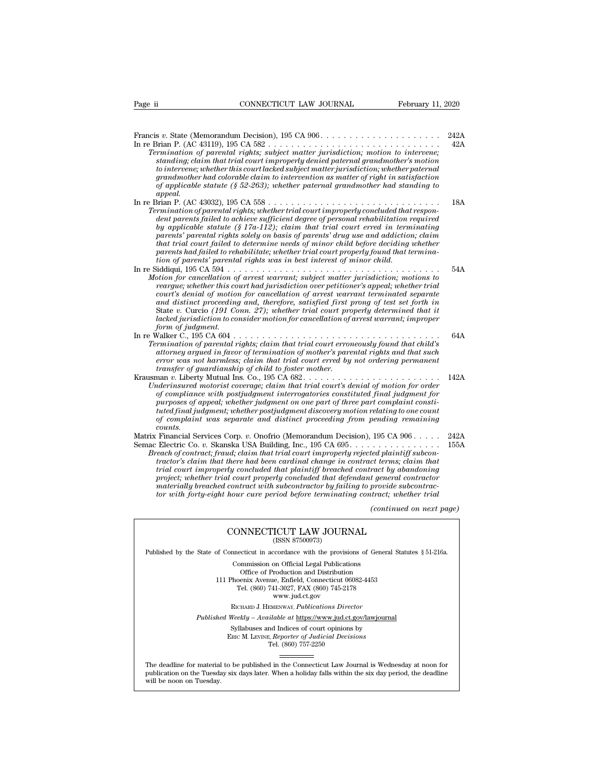| Page ii           | CONNECTICUT LAW JOURNAL                                                                                                                                                                                                                                                                                                                                                                                                                                                                                                                                                                                                                                                            | February 11, 2020        |              |
|-------------------|------------------------------------------------------------------------------------------------------------------------------------------------------------------------------------------------------------------------------------------------------------------------------------------------------------------------------------------------------------------------------------------------------------------------------------------------------------------------------------------------------------------------------------------------------------------------------------------------------------------------------------------------------------------------------------|--------------------------|--------------|
| appeal.           | Termination of parental rights; subject matter jurisdiction; motion to intervene;<br>standing; claim that trial court improperly denied paternal grandmother's motion<br>to intervene; whether this court lacked subject matter jurisdiction; whether paternal<br>grandmother had colorable claim to intervention as matter of right in satisfaction<br>of applicable statute (§ 52-263); whether paternal grandmother had standing to                                                                                                                                                                                                                                             |                          | 242A<br>42A  |
|                   | Termination of parental rights; whether trial court improperly concluded that respon-<br>dent parents failed to achieve sufficient degree of personal rehabilitation required<br>by applicable statute (§ 17a-112); claim that trial court erred in terminating<br>parents' parental rights solely on basis of parents' drug use and addiction; claim<br>that trial court failed to determine needs of minor child before deciding whether<br>parents had failed to rehabilitate; whether trial court properly found that termina-<br>tion of parents' parental rights was in best interest of minor child.                                                                        |                          | 18A          |
| form of judgment. | In re Siddiqui, $195 \text{ CA } 594 \text{ .} \ldots \ldots \ldots \ldots \ldots \ldots \ldots \ldots \ldots \ldots \ldots \ldots \ldots$<br>Motion for cancellation of arrest warrant; subject matter jurisdiction; motions to<br>rearque; whether this court had jurisdiction over petitioner's appeal; whether trial<br>court's denial of motion for cancellation of arrest warrant terminated separate<br>and distinct proceeding and, therefore, satisfied first prong of test set forth in<br>State v. Curcio (191 Conn. 27); whether trial court properly determined that it<br>lacked jurisdiction to consider motion for cancellation of arrest warrant; improper        |                          | 54A          |
|                   | Termination of parental rights; claim that trial court erroneously found that child's<br>attorney argued in favor of termination of mother's parental rights and that such<br>error was not harmless; claim that trial court erred by not ordering permanent<br>transfer of guardianship of child to foster mother.                                                                                                                                                                                                                                                                                                                                                                |                          | 64A          |
| counts.           | Underinsured motorist coverage; claim that trial court's denial of motion for order<br>of compliance with postjudgment interrogatories constituted final judgment for<br>purposes of appeal; whether judgment on one part of three part complaint consti-<br>tuted final judgment; whether postjudgment discovery motion relating to one count<br>of complaint was separate and distinct proceeding from pending remaining                                                                                                                                                                                                                                                         |                          | 142A         |
|                   | Matrix Financial Services Corp. v. Onofrio (Memorandum Decision), $195$ CA $906$<br>Semac Electric Co. v. Skanska USA Building, Inc., 195 CA 695.<br>Breach of contract; fraud; claim that trial court improperly rejected plaintiff subcon-<br>tractor's claim that there had been cardinal change in contract terms; claim that<br>trial court improperly concluded that plaintiff breached contract by abandoning<br>project; whether trial court properly concluded that defendant general contractor<br>materially breached contract with subcontractor by failing to provide subcontrac-<br>tor with forty-eight hour cure period before terminating contract; whether trial |                          | 242A<br>155A |
|                   |                                                                                                                                                                                                                                                                                                                                                                                                                                                                                                                                                                                                                                                                                    | (continued on next page) |              |
|                   | CONNECTICUT LAW JOURNAL<br>(ISSN 87500973)                                                                                                                                                                                                                                                                                                                                                                                                                                                                                                                                                                                                                                         |                          |              |
|                   | Published by the State of Connecticut in accordance with the provisions of General Statutes § 51-216a.                                                                                                                                                                                                                                                                                                                                                                                                                                                                                                                                                                             |                          |              |

## $\begin{array}{lllll} \text{CONNECTICUT LAW JOURNAL} & \text{[ISSN 87500973)} \end{array}$

Published by the State of Connecticut in accordance with the provisions of General Statutes § 51-216a.

CONNECTICUT LAW JOURNAL<br>
(ISSN 87500973)<br>
inecticut in accordance with the provisions of Gener<br>
Commission on Official Legal Publications<br>
Office of Production and Distribution<br>
office of Production and Distribution **NNECTICUT LAW JOURNAL**<br>
(ISSN 87500973)<br>
cticut in accordance with the provisions of Gener<br>
mmission on Official Legal Publications<br>
Office of Production and Distribution<br>
centra Avenue, Enfield, Connecticut 06082-4453<br>
b CONNECTICUT LAW JOURNAL<br>
(ISSN 87500973)<br>
of Connecticut in accordance with the provisions of General Statu<br>
Commission on Official Legal Publications<br>
Office of Production and Distribution<br>
111 Phoenix Avenue, Enfield, Co (ISSN 87500973)<br>ecticut in accordance with the provisions of Gener<br>ommission on Official Legal Publications<br>Office of Production and Distribution<br>oenix Avenue, Enfield, Connecticut 06082-4453<br>Tel. (860) 741-3027, FAX (860 reordance with the provision<br>on Official Legal Publication<br>roduction and Distribution<br>e, Enfield, Connecticut 06<br>11-3027, FAX (860) 745-21'<br>www.jud.ct.gov<br>zENWAY, *Publications Dire* Rommission on Official Legal Publications<br>
Office of Production and Distribution<br>
Phoenix Avenue, Enfield, Connecticut 06082-4453<br>
Tel. (860) 741-3027, FAX (860) 745-2178<br>
www.jud.ct.gov<br>
RICHARD J. HEMENWAY, *Publications* Office of Production and Distribution<br>
111 Phoenix Avenue, Enfield, Connecticut 06082-4453<br>
Tel. (860) 741-3027, FAX (860) 745-2178<br>
www.jud.ct.gov<br>
RICHARD J. HEMENWAY, *Publications Director*<br> *Published Weekly – Availab* Phoenix Avenue, Enfield, Connecticut 06082-4453<br>
Tel. (860) 741-3027, FAX (860) 745-2178<br>
www.jud.ct.gov<br>
RICHARD J. HEMENWAY, *Publications Director*<br>
Weekly – Available at <u>https://www.jud.ct.gov/lawjourna</u><br>
Syllabuses a

Tel. (860) 757-2250

Published Weekly – Available at https://www.jud.ct.gov/lawjournal<br>Syllabuses and Indices of court opinions by<br>ERIC M. LEVINE, Reporter of Judicial Decisions<br>The deadline for material to be published in the Connecticut Law  $\begin{tabular}{l} \bf Syllabuses\ and\ Indices\ of\ court\ opinions\ by\\ \bf Enc\ M.\ LevINE,\ \textit{Reporter of\ Judicial\ Decisions}\\ \bf Tel.\ (860)\ 757-2250\\ \end{tabular}$  <br> The deadline for material to be published in the Connecticut Law Journal is Wednesday at noon for publication on the Tuesday six days later The deadline for material<br>publication on the Tuesday.<br>will be noon on Tuesday.